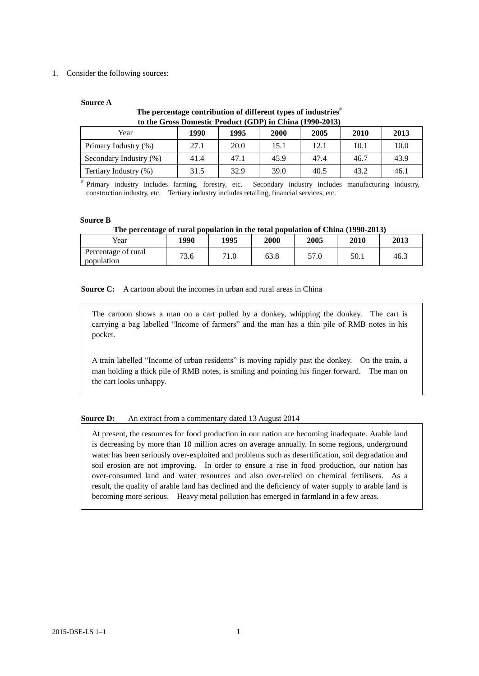## 1. Consider the following sources:

## **Source A**

# **The percentage contribution of different types of industries**# **to the Gross Domestic Product (GDP) in China (1990-2013)**

| Year                   | 1990 | 1995 | 2000 | 2005 | 2010 | 2013 |
|------------------------|------|------|------|------|------|------|
| Primary Industry (%)   | 27.1 | 20.0 | 15.1 | 12.1 | 10.1 | 10.0 |
| Secondary Industry (%) | 41.4 | 47.1 | 45.9 | 47.4 | 46.7 | 43.9 |
| Tertiary Industry (%)  | 31.5 | 32.9 | 39.0 | 40.5 | 43.2 | 46.1 |

# Primary industry includes farming, forestry, etc. Secondary industry includes manufacturing industry, construction industry, etc. Tertiary industry includes retailing, financial services, etc.

#### **Source B**

## **The percentage of rural population in the total population of China (1990-2013)**

| Year                              | 1990          | 1995 | <b>2000</b> | 2005       | 2010 | 2013 |
|-----------------------------------|---------------|------|-------------|------------|------|------|
| Percentage of rural<br>population | $\sim$<br>3.0 | 1.0  | 63.8        | 57<br>57.0 | 50.1 | 46.3 |

**Source C:** A cartoon about the incomes in urban and rural areas in China

The cartoon shows a man on a cart pulled by a donkey, whipping the donkey. The cart is carrying a bag labelled "Income of farmers" and the man has a thin pile of RMB notes in his pocket.

A train labelled "Income of urban residents" is moving rapidly past the donkey. On the train, a man holding a thick pile of RMB notes, is smiling and pointing his finger forward. The man on the cart looks unhappy.

#### **Source D:** An extract from a commentary dated 13 August 2014

At present, the resources for food production in our nation are becoming inadequate. Arable land is decreasing by more than 10 million acres on average annually. In some regions, underground water has been seriously over-exploited and problems such as desertification, soil degradation and soil erosion are not improving. In order to ensure a rise in food production, our nation has over-consumed land and water resources and also over-relied on chemical fertilisers. As a result, the quality of arable land has declined and the deficiency of water supply to arable land is becoming more serious. Heavy metal pollution has emerged in farmland in a few areas.